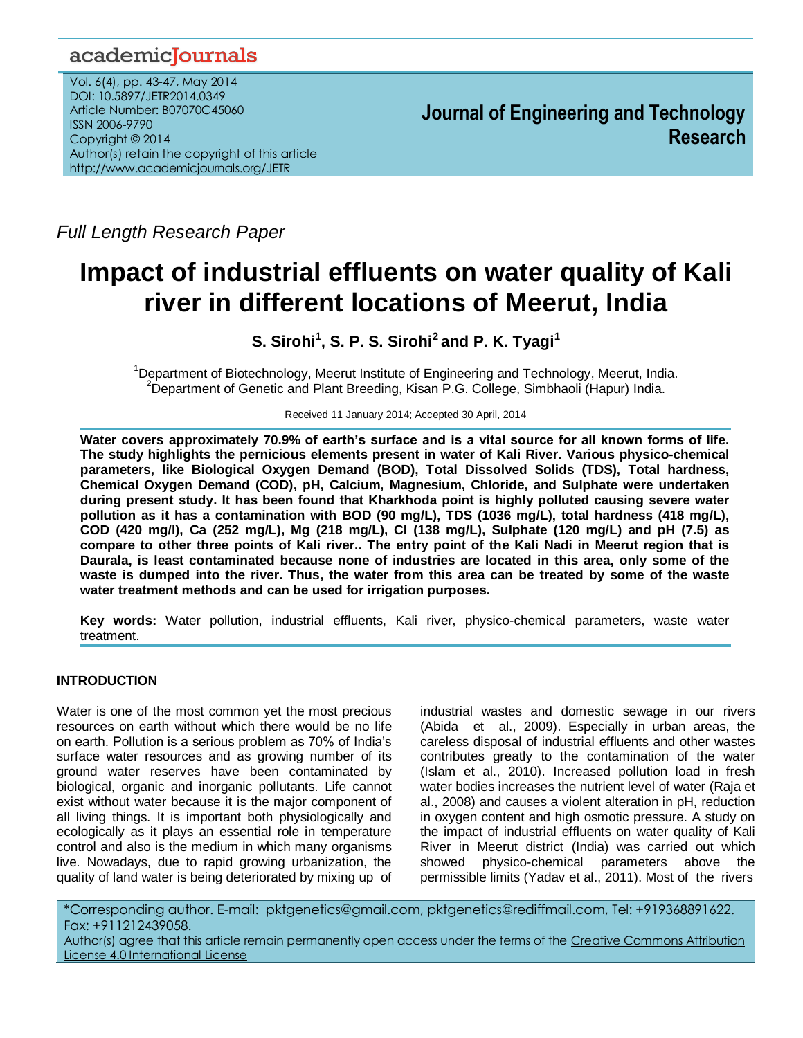# academicJournals

Vol. 6(4), pp. 43-47, May 2014 DOI: 10.5897/JETR2014.0349 Article Number: B07070C45060 ISSN 2006-9790 Copyright © 2014 Author(s) retain the copyright of this article http://www.academicjournals.org/JETR

**Journal of Engineering and Technology Research**

*Full Length Research Paper*

# **Impact of industrial effluents on water quality of Kali river in different locations of Meerut, India**

**S. Sirohi<sup>1</sup> , S. P. S. Sirohi<sup>2</sup>and P. K. Tyagi<sup>1</sup>**

<sup>1</sup>Department of Biotechnology, Meerut Institute of Engineering and Technology, Meerut, India.  $2D$ epartment of Genetic and Plant Breeding, Kisan P.G. College, Simbhaoli (Hapur) India.

Received 11 January 2014; Accepted 30 April, 2014

**Water covers approximately 70.9% of earth's surface and is a vital source for all known forms of life. The study highlights the pernicious elements present in water of Kali River. Various physico-chemical parameters, like Biological Oxygen Demand (BOD), Total Dissolved Solids (TDS), Total hardness, Chemical Oxygen Demand (COD), pH, Calcium, Magnesium, Chloride, and Sulphate were undertaken during present study. It has been found that Kharkhoda point is highly polluted causing severe water pollution as it has a contamination with BOD (90 mg/L), TDS (1036 mg/L), total hardness (418 mg/L), COD (420 mg/l), Ca (252 mg/L), Mg (218 mg/L), Cl (138 mg/L), Sulphate (120 mg/L) and pH (7.5) as compare to other three points of Kali river.. The entry point of the Kali Nadi in Meerut region that is Daurala, is least contaminated because none of industries are located in this area, only some of the waste is dumped into the river. Thus, the water from this area can be treated by some of the waste water treatment methods and can be used for irrigation purposes.**

**Key words:** Water pollution, industrial effluents, Kali river, physico-chemical parameters, waste water treatment.

# **INTRODUCTION**

Water is one of the most common yet the most precious resources on earth without which there would be no life on earth. Pollution is a serious problem as 70% of India's surface water resources and as growing number of its ground water reserves have been contaminated by biological, organic and inorganic pollutants. Life cannot exist without water because it is the major component of all living things. It is important both physiologically and ecologically as it plays an essential role in temperature control and also is the medium in which many organisms live. Nowadays, due to rapid growing urbanization, the quality of land water is being deteriorated by mixing up of

industrial wastes and domestic sewage in our rivers (Abida et al., 2009). Especially in urban areas, the careless disposal of industrial effluents and other wastes contributes greatly to the contamination of the water (Islam et al., 2010). Increased pollution load in fresh water bodies increases the nutrient level of water (Raja et al., 2008) and causes a violent alteration in pH, reduction in oxygen content and high osmotic pressure. A study on the impact of industrial effluents on water quality of Kali River in Meerut district (India) was carried out which showed physico-chemical parameters above the permissible limits (Yadav et al., 2011). Most of the rivers

\*Corresponding author. E-mail: pktgenetics@gmail.com, pktgenetics@rediffmail.com, Tel: +919368891622. Fax: +911212439058. Author(s) agree that this article remain permanently open access under the terms of the [Creative Commons Attribution](Creative%20Commons%20Attribution%20License%204.0%20International%20License) 

[License 4.0 International License](Creative%20Commons%20Attribution%20License%204.0%20International%20License)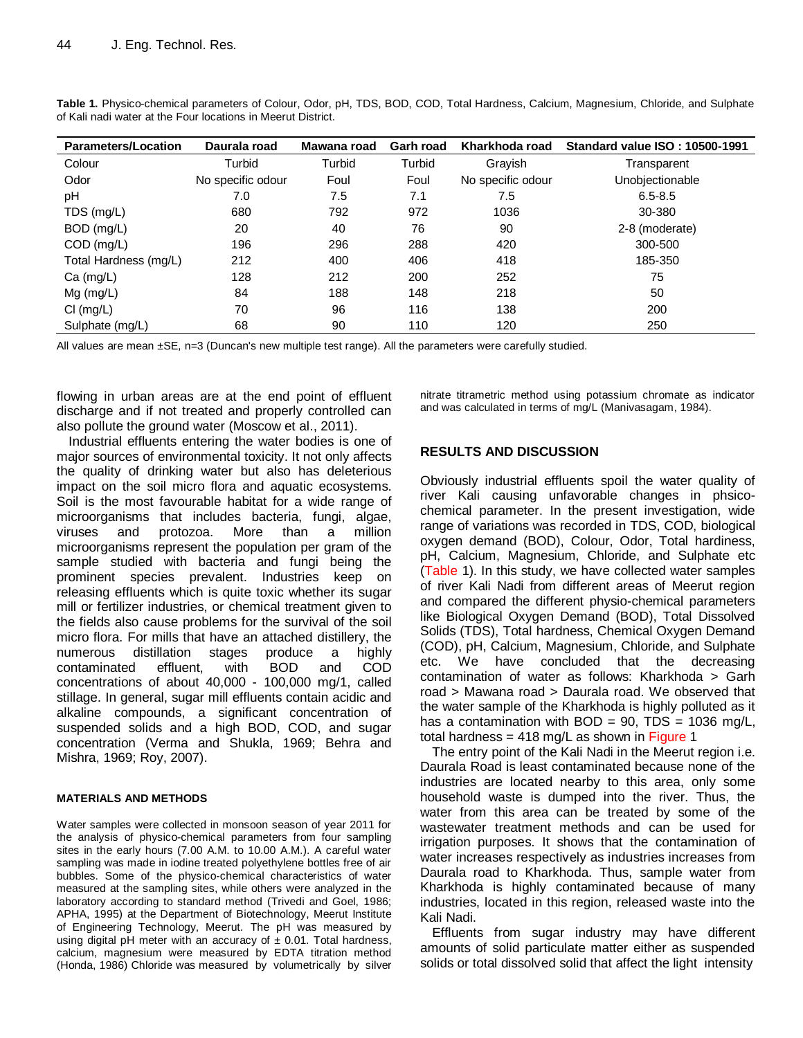| <b>Parameters/Location</b> | Daurala road      | Mawana road | <b>Garh road</b> | Kharkhoda road    | <b>Standard value ISO: 10500-1991</b> |
|----------------------------|-------------------|-------------|------------------|-------------------|---------------------------------------|
| Colour                     | Turbid            | Turbid      | Turbid           | Gravish           | Transparent                           |
| Odor                       | No specific odour | Foul        | Foul             | No specific odour | Unobjectionable                       |
| рH                         | 7.0               | 7.5         | 7.1              | 7.5               | $6.5 - 8.5$                           |
| TDS (mg/L)                 | 680               | 792         | 972              | 1036              | 30-380                                |
| BOD (mg/L)                 | 20                | 40          | 76               | 90                | 2-8 (moderate)                        |
| COD (mg/L)                 | 196               | 296         | 288              | 420               | 300-500                               |
| Total Hardness (mg/L)      | 212               | 400         | 406              | 418               | 185-350                               |
| $Ca$ (mg/L)                | 128               | 212         | 200              | 252               | 75                                    |
| $Mg$ (mg/L)                | 84                | 188         | 148              | 218               | 50                                    |
| $Cl$ (mg/L)                | 70                | 96          | 116              | 138               | 200                                   |
| Sulphate (mg/L)            | 68                | 90          | 110              | 120               | 250                                   |

**Table 1.** Physico-chemical parameters of Colour, Odor, pH, TDS, BOD, COD, Total Hardness, Calcium, Magnesium, Chloride, and Sulphate of Kali nadi water at the Four locations in Meerut District.

All values are mean ±SE, n=3 (Duncan's new multiple test range). All the parameters were carefully studied.

flowing in urban areas are at the end point of effluent discharge and if not treated and properly controlled can also pollute the ground water (Moscow et al., 2011).

Industrial effluents entering the water bodies is one of major sources of environmental toxicity. It not only affects the quality of drinking water but also has deleterious impact on the soil micro flora and aquatic ecosystems. Soil is the most favourable habitat for a wide range of microorganisms that includes bacteria, fungi, algae, viruses and protozoa. More than a million microorganisms represent the population per gram of the sample studied with bacteria and fungi being the prominent species prevalent. Industries keep on releasing effluents which is quite toxic whether its sugar mill or fertilizer industries, or chemical treatment given to the fields also cause problems for the survival of the soil micro flora. For mills that have an attached distillery, the numerous distillation stages produce a highly contaminated effluent, with BOD and COD concentrations of about 40,000 - 100,000 mg/1, called stillage. In general, sugar mill effluents contain acidic and alkaline compounds, a significant concentration of suspended solids and a high BOD, COD, and sugar concentration (Verma and Shukla, 1969; Behra and Mishra, 1969; Roy, 2007).

#### **MATERIALS AND METHODS**

Water samples were collected in monsoon season of year 2011 for the analysis of physico-chemical parameters from four sampling sites in the early hours (7.00 A.M. to 10.00 A.M.). A careful water sampling was made in iodine treated polyethylene bottles free of air bubbles. Some of the physico-chemical characteristics of water measured at the sampling sites, while others were analyzed in the laboratory according to standard method (Trivedi and Goel, 1986; APHA, 1995) at the Department of Biotechnology, Meerut Institute of Engineering Technology, Meerut. The pH was measured by using digital pH meter with an accuracy of  $\pm$  0.01. Total hardness, calcium, magnesium were measured by EDTA titration method (Honda, 1986) Chloride was measured by volumetrically by silver nitrate titrametric method using potassium chromate as indicator and was calculated in terms of mg/L (Manivasagam, 1984).

### **RESULTS AND DISCUSSION**

Obviously industrial effluents spoil the water quality of river Kali causing unfavorable changes in phsicochemical parameter. In the present investigation, wide range of variations was recorded in TDS, COD, biological oxygen demand (BOD), Colour, Odor, Total hardiness, pH, Calcium, Magnesium, Chloride, and Sulphate etc (Table 1). In this study, we have collected water samples of river Kali Nadi from different areas of Meerut region and compared the different physio-chemical parameters like Biological Oxygen Demand (BOD), Total Dissolved Solids (TDS), Total hardness, Chemical Oxygen Demand (COD), pH, Calcium, Magnesium, Chloride, and Sulphate etc. We have concluded that the decreasing contamination of water as follows: Kharkhoda > Garh road > Mawana road > Daurala road. We observed that the water sample of the Kharkhoda is highly polluted as it has a contamination with  $BOD = 90$ ,  $TDS = 1036$  mg/L, total hardness =  $418 \text{ mg/L}$  as shown in Figure 1

The entry point of the Kali Nadi in the Meerut region i.e. Daurala Road is least contaminated because none of the industries are located nearby to this area, only some household waste is dumped into the river. Thus, the water from this area can be treated by some of the wastewater treatment methods and can be used for irrigation purposes. It shows that the contamination of water increases respectively as industries increases from Daurala road to Kharkhoda. Thus, sample water from Kharkhoda is highly contaminated because of many industries, located in this region, released waste into the Kali Nadi.

Effluents from sugar industry may have different amounts of solid particulate matter either as suspended solids or total dissolved solid that affect the light intensity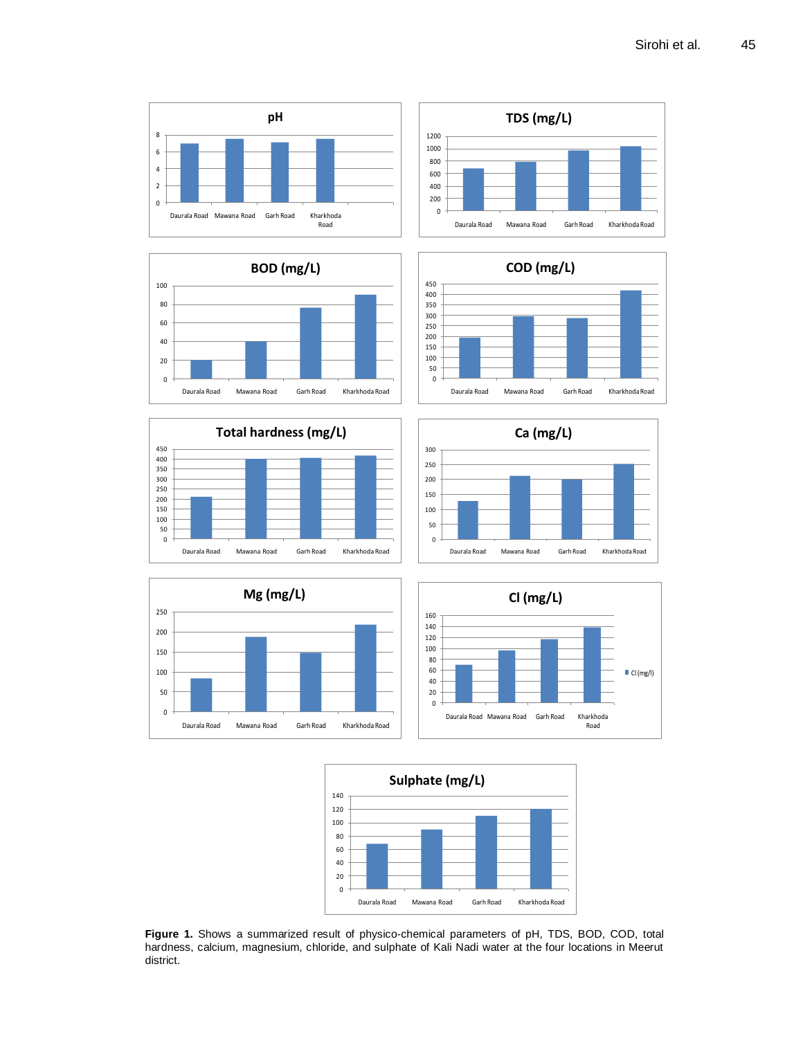



**Figure 1.** Shows a summarized result of physico-chemical parameters of pH, TDS, BOD, COD, total hardness, calcium, magnesium, chloride, and sulphate of Kali Nadi water at the four locations in Meerut district.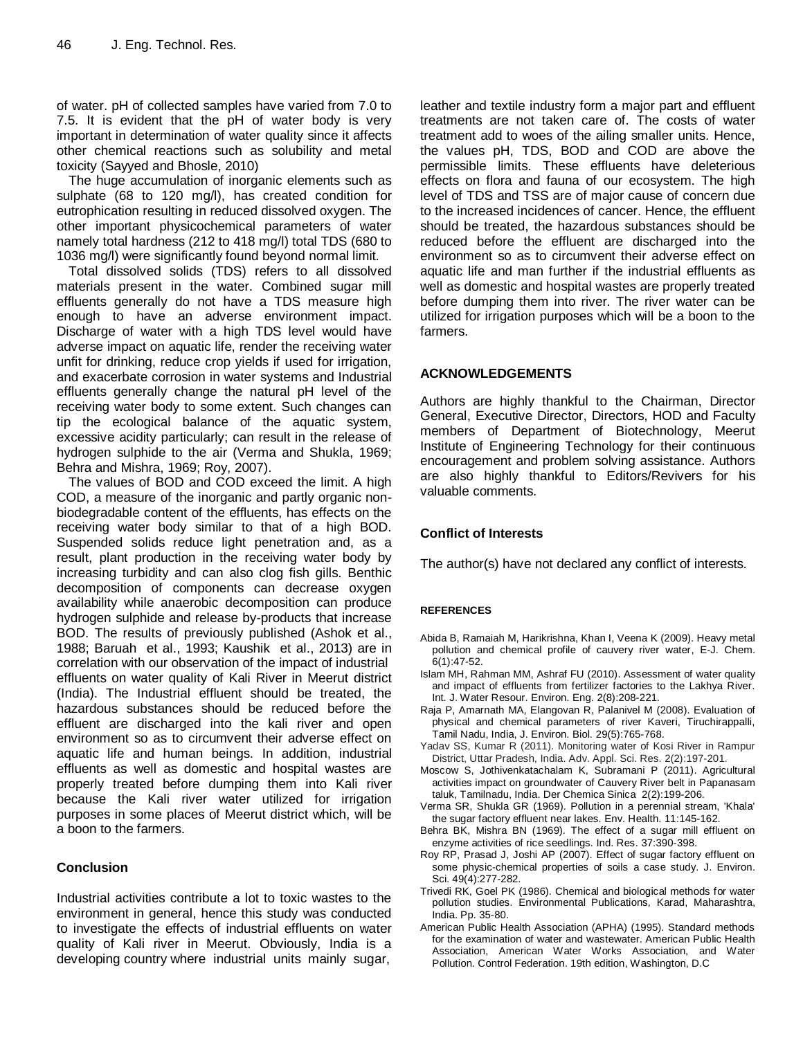of water. pH of collected samples have varied from 7.0 to 7.5. It is evident that the pH of water body is very important in determination of water quality since it affects other chemical reactions such as solubility and metal toxicity (Sayyed and Bhosle, 2010)

The huge accumulation of inorganic elements such as sulphate (68 to 120 mg/l), has created condition for eutrophication resulting in reduced dissolved oxygen. The other important physicochemical parameters of water namely total hardness (212 to 418 mg/l) total TDS (680 to 1036 mg/l) were significantly found beyond normal limit.

Total dissolved solids (TDS) refers to all dissolved materials present in the water. Combined sugar mill effluents generally do not have a TDS measure high enough to have an adverse environment impact. Discharge of water with a high TDS level would have adverse impact on aquatic life, render the receiving water unfit for drinking, reduce crop yields if used for irrigation, and exacerbate corrosion in water systems and Industrial effluents generally change the natural pH level of the receiving water body to some extent. Such changes can tip the ecological balance of the aquatic system, excessive acidity particularly; can result in the release of hydrogen sulphide to the air (Verma and Shukla, 1969; Behra and Mishra, 1969; Roy, 2007).

The values of BOD and COD exceed the limit. A high COD, a measure of the inorganic and partly organic nonbiodegradable content of the effluents, has effects on the receiving water body similar to that of a high BOD. Suspended solids reduce light penetration and, as a result, plant production in the receiving water body by increasing turbidity and can also clog fish gills. Benthic decomposition of components can decrease oxygen availability while anaerobic decomposition can produce hydrogen sulphide and release by-products that increase BOD. The results of previously published (Ashok et al., 1988; Baruah et al., 1993; Kaushik et al., 2013) are in correlation with our observation of the impact of industrial effluents on water quality of Kali River in Meerut district (India). The Industrial effluent should be treated, the hazardous substances should be reduced before the effluent are discharged into the kali river and open environment so as to circumvent their adverse effect on aquatic life and human beings. In addition, industrial effluents as well as domestic and hospital wastes are properly treated before dumping them into Kali river because the Kali river water utilized for irrigation purposes in some places of Meerut district which, will be a boon to the farmers.

# **Conclusion**

Industrial activities contribute a lot to toxic wastes to the environment in general, hence this study was conducted to investigate the effects of industrial effluents on water quality of Kali river in Meerut. Obviously, India is a developing country where industrial units mainly sugar,

leather and textile industry form a major part and effluent treatments are not taken care of. The costs of water treatment add to woes of the ailing smaller units. Hence, the values pH, TDS, BOD and COD are above the permissible limits. These effluents have deleterious effects on flora and fauna of our ecosystem. The high level of TDS and TSS are of major cause of concern due to the increased incidences of cancer. Hence, the effluent should be treated, the hazardous substances should be reduced before the effluent are discharged into the environment so as to circumvent their adverse effect on aquatic life and man further if the industrial effluents as well as domestic and hospital wastes are properly treated before dumping them into river. The river water can be utilized for irrigation purposes which will be a boon to the farmers.

#### **ACKNOWLEDGEMENTS**

Authors are highly thankful to the Chairman, Director General, Executive Director, Directors, HOD and Faculty members of Department of Biotechnology, Meerut Institute of Engineering Technology for their continuous encouragement and problem solving assistance. Authors are also highly thankful to Editors/Revivers for his valuable comments.

### **Conflict of Interests**

The author(s) have not declared any conflict of interests.

#### **REFERENCES**

- Abida B, Ramaiah M, Harikrishna, Khan I, Veena K (2009). Heavy metal pollution and chemical profile of cauvery river water, E-J. Chem. 6(1):47-52.
- Islam MH, Rahman MM, Ashraf FU (2010). Assessment of water quality and impact of effluents from fertilizer factories to the Lakhya River. Int. J. Water Resour. Environ. Eng. 2(8):208-221.
- Raja P, Amarnath MA, Elangovan R, Palanivel M (2008). Evaluation of physical and chemical parameters of river Kaveri, Tiruchirappalli, Tamil Nadu, India, J. Environ. Biol. 29(5):765-768.
- Yadav SS, Kumar R (2011). Monitoring water of Kosi River in Rampur District, Uttar Pradesh, India. Adv. Appl. Sci. Res. 2(2):197-201.
- Moscow S, Jothivenkatachalam K, Subramani P (2011). [Agricultural](http://pelagiaresearchlibrary.com/der-chemica-sinica/vol2-iss2/DCS-2011-2-2-199-206.pdf)  [activities impact on groundwater of Cauvery River belt in Papanasam](http://pelagiaresearchlibrary.com/der-chemica-sinica/vol2-iss2/DCS-2011-2-2-199-206.pdf)  [taluk, Tamilnadu, India.](http://pelagiaresearchlibrary.com/der-chemica-sinica/vol2-iss2/DCS-2011-2-2-199-206.pdf) Der Chemica Sinica 2(2):199-206.
- Verma SR, Shukla GR (1969). Pollution in a perennial stream, 'Khala' the sugar factory effluent near lakes. Env. Health. 11:145-162.
- Behra BK, Mishra BN (1969). The effect of a sugar mill effluent on enzyme activities of rice seedlings. Ind. Res. 37:390-398.
- Roy RP, Prasad J, Joshi AP (2007). Effect of sugar factory effluent on some physic-chemical properties of soils a case study. J. Environ. Sci. 49(4):277-282.
- Trivedi RK, Goel PK (1986). Chemical and biological methods for water pollution studies. Environmental Publications*,* Karad, Maharashtra, India. Pp. 35-80.
- American Public Health Association (APHA) (1995). Standard methods for the examination of water and wastewater. American Public Health Association, American Water Works Association, and Water Pollution. Control Federation. 19th edition, Washington, D.C